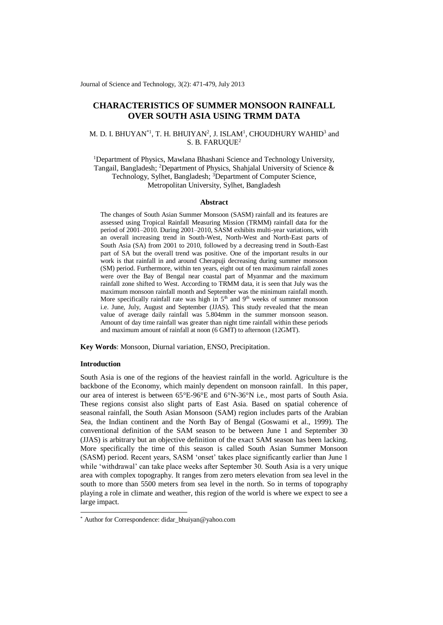Journal of Science and Technology, 3(2): 471-479, July 2013

# **CHARACTERISTICS OF SUMMER MONSOON RAINFALL OVER SOUTH ASIA USING TRMM DATA**

## M. D. I. BHUYAN\*<sup>1</sup>, T. H. BHUIYAN<sup>2</sup>, J. ISLAM<sup>1</sup>, CHOUDHURY WAHID<sup>3</sup> and S. B. FARUQUE<sup>2</sup>

<sup>1</sup>Department of Physics, Mawlana Bhashani Science and Technology University, Tangail, Bangladesh; <sup>2</sup>Department of Physics, Shahjalal University of Science & Technology, Sylhet, Bangladesh; <sup>3</sup>Department of Computer Science, Metropolitan University, Sylhet, Bangladesh

### **Abstract**

The changes of South Asian Summer Monsoon (SASM) rainfall and its features are assessed using Tropical Rainfall Measuring Mission (TRMM) rainfall data for the period of 2001–2010. During 2001–2010, SASM exhibits multi-year variations, with an overall increasing trend in South-West, North-West and North-East parts of South Asia (SA) from 2001 to 2010, followed by a decreasing trend in South-East part of SA but the overall trend was positive. One of the important results in our work is that rainfall in and around Cherapuji decreasing during summer monsoon (SM) period. Furthermore, within ten years, eight out of ten maximum rainfall zones were over the Bay of Bengal near coastal part of Myanmar and the maximum rainfall zone shifted to West. According to TRMM data, it is seen that July was the maximum monsoon rainfall month and September was the minimum rainfall month. More specifically rainfall rate was high in  $5<sup>th</sup>$  and  $9<sup>th</sup>$  weeks of summer monsoon i.e. June, July, August and September (JJAS). This study revealed that the mean value of average daily rainfall was 5.804mm in the summer monsoon season. Amount of day time rainfall was greater than night time rainfall within these periods and maximum amount of rainfall at noon (6 GMT) to afternoon (12GMT).

**Key Words**: Monsoon, Diurnal variation, ENSO, Precipitation.

#### **Introduction**

-

South Asia is one of the regions of the heaviest rainfall in the world. Agriculture is the backbone of the Economy, which mainly dependent on monsoon rainfall. In this paper, our area of interest is between 65°E-96°E and 6°N-36°N i.e., most parts of South Asia. These regions consist also slight parts of East Asia. Based on spatial coherence of seasonal rainfall, the South Asian Monsoon (SAM) region includes parts of the Arabian Sea, the Indian continent and the North Bay of Bengal (Goswami et al., 1999). The conventional definition of the SAM season to be between June 1 and September 30 (JJAS) is arbitrary but an objective definition of the exact SAM season has been lacking. More specifically the time of this season is called South Asian Summer Monsoon (SASM) period. Recent years, SASM 'onset' takes place significantly earlier than June 1 while 'withdrawal' can take place weeks after September 30. South Asia is a very unique area with complex topography. It ranges from zero meters elevation from sea level in the south to more than 5500 meters from sea level in the north. So in terms of topography playing a role in climate and weather, this region of the world is where we expect to see a large impact.

<sup>\*</sup> Author for Correspondence: didar\_bhuiyan@yahoo.com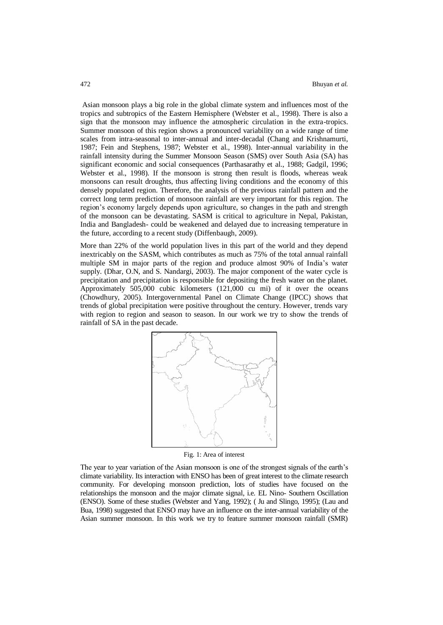Asian monsoon plays a big role in the global climate system and influences most of the tropics and subtropics of the Eastern Hemisphere (Webster et al., 1998). There is also a sign that the monsoon may influence the atmospheric circulation in the extra-tropics. Summer monsoon of this region shows a pronounced variability on a wide range of time scales from intra-seasonal to inter-annual and inter-decadal (Chang and Krishnamurti, 1987; Fein and Stephens, 1987; Webster et al., 1998). Inter-annual variability in the rainfall intensity during the Summer Monsoon Season (SMS) over South Asia (SA) has significant economic and social consequences (Parthasarathy et al., 1988; Gadgil, 1996; Webster et al., 1998). If the monsoon is strong then result is floods, whereas weak monsoons can result droughts, thus affecting living conditions and the economy of this densely populated region. Therefore, the analysis of the previous rainfall pattern and the correct long term prediction of monsoon rainfall are very important for this region. The region's economy largely depends upon agriculture, so changes in the path and strength of the monsoon can be devastating. SASM is critical to agriculture in Nepal, Pakistan, India and Bangladesh- could be weakened and delayed due to increasing temperature in the future, according to a recent study (Diffenbaugh, 2009).

More than 22% of the world population lives in this part of the world and they depend inextricably on the SASM, which contributes as much as 75% of the total annual rainfall multiple SM in major parts of the region and produce almost 90% of India's water supply. (Dhar, O.N, and S. Nandargi, 2003). The major component of the water cycle is precipitation and precipitation is responsible for depositing the fresh water on the planet. Approximately 505,000 cubic kilometers (121,000 cu mi) of it over the oceans (Chowdhury, 2005). Intergovernmental Panel on Climate Change (IPCC) shows that trends of global precipitation were positive throughout the century. However, trends vary with region to region and season to season. In our work we try to show the trends of rainfall of SA in the past decade.



Fig. 1: Area of interest

The year to year variation of the Asian monsoon is one of the strongest signals of the earth's climate variability. Its interaction with ENSO has been of great interest to the climate research community. For developing monsoon prediction, lots of studies have focused on the relationships the monsoon and the major climate signal, i.e. EL Nino- Southern Oscillation (ENSO). Some of these studies (Webster and Yang, 1992); ( Ju and Slingo, 1995); (Lau and Bua, 1998) suggested that ENSO may have an influence on the inter-annual variability of the Asian summer monsoon. In this work we try to feature summer monsoon rainfall (SMR)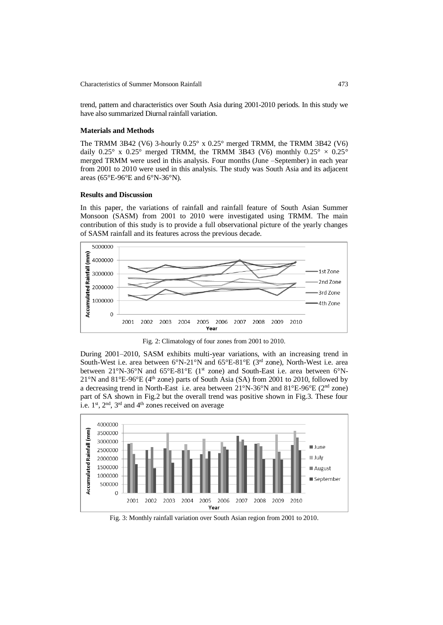trend, pattern and characteristics over South Asia during 2001-2010 periods. In this study we have also summarized Diurnal rainfall variation.

#### **Materials and Methods**

The TRMM 3B42 (V6) 3-hourly  $0.25^{\circ}$  x  $0.25^{\circ}$  merged TRMM, the TRMM 3B42 (V6) daily 0.25° x 0.25° merged TRMM, the TRMM 3B43 (V6) monthly  $0.25^\circ \times 0.25^\circ$ merged TRMM were used in this analysis. Four months (June –September) in each year from 2001 to 2010 were used in this analysis. The study was South Asia and its adjacent areas (65°E-96°E and 6°N-36°N).

#### **Results and Discussion**

In this paper, the variations of rainfall and rainfall feature of South Asian Summer Monsoon (SASM) from 2001 to 2010 were investigated using TRMM. The main contribution of this study is to provide a full observational picture of the yearly changes of SASM rainfall and its features across the previous decade.



Fig. 2: Climatology of four zones from 2001 to 2010.

During 2001–2010, SASM exhibits multi-year variations, with an increasing trend in South-West i.e. area between  $6^{\circ}N-21^{\circ}N$  and  $65^{\circ}E-81^{\circ}E$  (3<sup>rd</sup> zone), North-West i.e. area between 21°N-36°N and 65°E-81°E (1<sup>st</sup> zone) and South-East i.e. area between 6°N-21°N and 81°E-96°E (4th zone) parts of South Asia (SA) from 2001 to 2010, followed by a decreasing trend in North-East i.e. area between 21°N-36°N and 81°E-96°E (2nd zone) part of SA shown in Fig.2 but the overall trend was positive shown in Fig.3. These four i.e.  $1<sup>st</sup>$ ,  $2<sup>nd</sup>$ ,  $3<sup>rd</sup>$  and  $4<sup>th</sup>$  zones received on average



Fig. 3: Monthly rainfall variation over South Asian region from 2001 to 2010.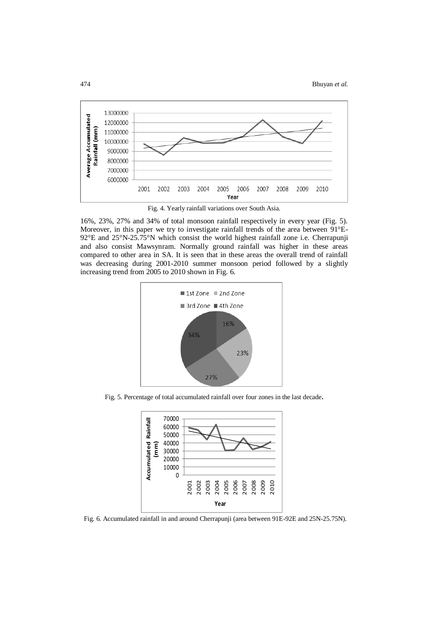

Fig. 4. Yearly rainfall variations over South Asia.

16%, 23%, 27% and 34% of total monsoon rainfall respectively in every year (Fig. 5). Moreover, in this paper we try to investigate rainfall trends of the area between 91°E-92°E and 25°N-25.75°N which consist the world highest rainfall zone i.e. Cherrapunji and also consist Mawsynram. Normally ground rainfall was higher in these areas compared to other area in SA. It is seen that in these areas the overall trend of rainfall was decreasing during 2001-2010 summer monsoon period followed by a slightly increasing trend from 2005 to 2010 shown in Fig. 6.



Fig. 5. Percentage of total accumulated rainfall over four zones in the last decade**.**



Fig. 6. Accumulated rainfall in and around Cherrapunji (area between 91E-92E and 25N-25.75N).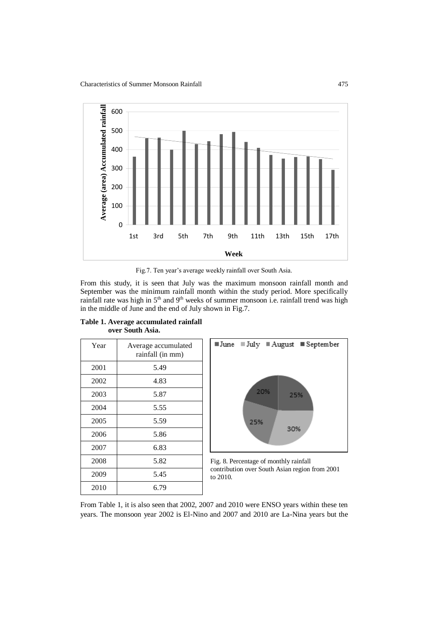

Fig.7. Ten year's average weekly rainfall over South Asia.

From this study, it is seen that July was the maximum monsoon rainfall month and September was the minimum rainfall month within the study period. More specifically rainfall rate was high in 5<sup>th</sup> and 9<sup>th</sup> weeks of summer monsoon i.e. rainfall trend was high in the middle of June and the end of July shown in Fig.7.

| Year | Average accumulated<br>rainfall (in mm) |
|------|-----------------------------------------|
| 2001 | 5.49                                    |
| 2002 | 4.83                                    |
| 2003 | 5.87                                    |
| 2004 | 5.55                                    |
| 2005 | 5.59                                    |
| 2006 | 5.86                                    |
| 2007 | 6.83                                    |
| 2008 | 5.82                                    |
| 2009 | 5.45                                    |
| 2010 | 6.79                                    |

**Table 1. Average accumulated rainfall over South Asia.** 



Fig. 8. Percentage of monthly rainfall contribution over South Asian region from 2001 to 2010.

From Table 1, it is also seen that 2002, 2007 and 2010 were ENSO years within these ten years. The monsoon year 2002 is El-Nino and 2007 and 2010 are La-Nina years but the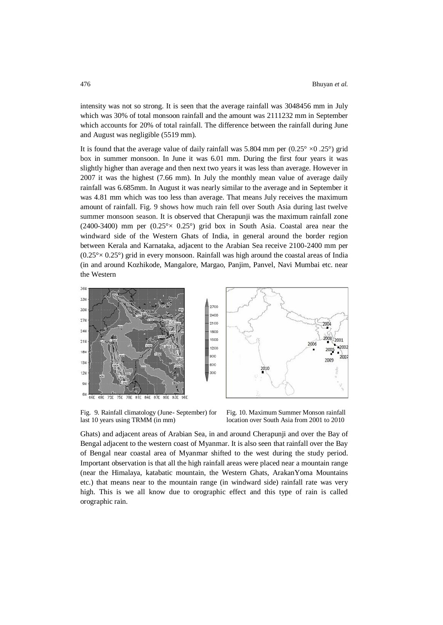intensity was not so strong. It is seen that the average rainfall was 3048456 mm in July which was 30% of total monsoon rainfall and the amount was 2111232 mm in September which accounts for 20% of total rainfall. The difference between the rainfall during June and August was negligible (5519 mm).

It is found that the average value of daily rainfall was 5.804 mm per  $(0.25^{\circ} \times 0.25^{\circ})$  grid box in summer monsoon. In June it was 6.01 mm. During the first four years it was slightly higher than average and then next two years it was less than average. However in 2007 it was the highest (7.66 mm). In July the monthly mean value of average daily rainfall was 6.685mm. In August it was nearly similar to the average and in September it was 4.81 mm which was too less than average. That means July receives the maximum amount of rainfall. Fig. 9 shows how much rain fell over South Asia during last twelve summer monsoon season. It is observed that Cherapunji was the maximum rainfall zone (2400-3400) mm per  $(0.25^{\circ} \times 0.25^{\circ})$  grid box in South Asia. Coastal area near the windward side of the Western Ghats of India, in general around the border region between Kerala and Karnataka, adjacent to the Arabian Sea receive 2100-2400 mm per  $(0.25<sup>o</sup> \times 0.25<sup>o</sup>)$  grid in every monsoon. Rainfall was high around the coastal areas of India (in and around Kozhikode, Mangalore, Margao, Panjim, Panvel, Navi Mumbai etc. near the Western



Fig. 9. Rainfall climatology (June- September) for last 10 years using TRMM (in mm)

Fig. 10. Maximum Summer Monson rainfall location over South Asia from 2001 to 2010

Ghats) and adjacent areas of Arabian Sea, in and around Cherapunji and over the Bay of Bengal adjacent to the western coast of Myanmar. It is also seen that rainfall over the Bay of Bengal near coastal area of Myanmar shifted to the west during the study period. Important observation is that all the high rainfall areas were placed near a mountain range (near the Himalaya, katabatic mountain, the Western Ghats, ArakanYoma Mountains etc.) that means near to the mountain range (in windward side) rainfall rate was very high. This is we all know due to orographic effect and this type of rain is called orographic rain.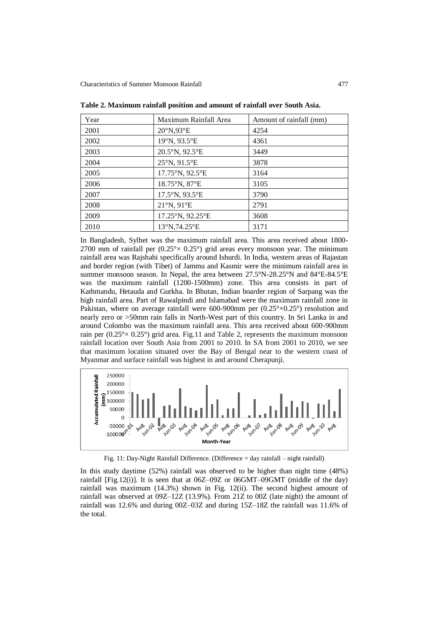| Year | Maximum Rainfall Area | Amount of rainfall (mm) |
|------|-----------------------|-------------------------|
| 2001 | 20°N,93°E             | 4254                    |
| 2002 | 19°N, 93.5°E          | 4361                    |
| 2003 | 20.5°N, 92.5°E        | 3449                    |
| 2004 | 25°N, 91.5°E          | 3878                    |
| 2005 | 17.75°N, 92.5°E       | 3164                    |
| 2006 | 18.75°N, 87°E         | 3105                    |
| 2007 | 17.5°N, 93.5°E        | 3790                    |
| 2008 | 21°N, 91°E            | 2791                    |
| 2009 | 17.25°N, 92.25°E      | 3608                    |
| 2010 | 13°N,74.25°E          | 3171                    |

**Table 2. Maximum rainfall position and amount of rainfall over South Asia.** 

In Bangladesh, Sylhet was the maximum rainfall area. This area received about 1800- 2700 mm of rainfall per  $(0.25^{\circ} \times 0.25^{\circ})$  grid areas every monsoon year. The minimum rainfall area was Rajshahi specifically around Ishurdi. In India, western areas of Rajastan and border region (with Tibet) of Jammu and Kasmir were the minimum rainfall area in summer monsoon season. In Nepal, the area between 27.5°N-28.25°N and 84°E-84.5°E was the maximum rainfall (1200-1500mm) zone. This area consists in part of Kathmandu, Hetauda and Gurkha. In Bhutan, Indian boarder region of Sarpang was the high rainfall area. Part of Rawalpindi and Islamabad were the maximum rainfall zone in Pakistan, where on average rainfall were  $600-900$ mm per  $(0.25\degree \times 0.25\degree)$  resolution and nearly zero or >50mm rain falls in North-West part of this country. In Sri Lanka in and around Colombo was the maximum rainfall area. This area received about 600-900mm rain per  $(0.25^{\circ} \times 0.25^{\circ})$  grid area. Fig.11 and Table 2, represents the maximum monsoon rainfall location over South Asia from 2001 to 2010. In SA from 2001 to 2010, we see that maximum location situated over the Bay of Bengal near to the western coast of Myanmar and surface rainfall was highest in and around Cherapunji.



Fig. 11: Day-Night Rainfall Difference. (Difference = day rainfall – night rainfall)

In this study daytime (52%) rainfall was observed to be higher than night time (48%) rainfall [Fig.12(i)]. It is seen that at  $06Z-09Z$  or  $06GMT-09GMT$  (middle of the day) rainfall was maximum (14.3%) shown in Fig. 12(ii). The second highest amount of rainfall was observed at 09Z–12Z (13.9%). From 21Z to 00Z (late night) the amount of rainfall was 12.6% and during 00Z–03Z and during 15Z–18Z the rainfall was 11.6% of the total.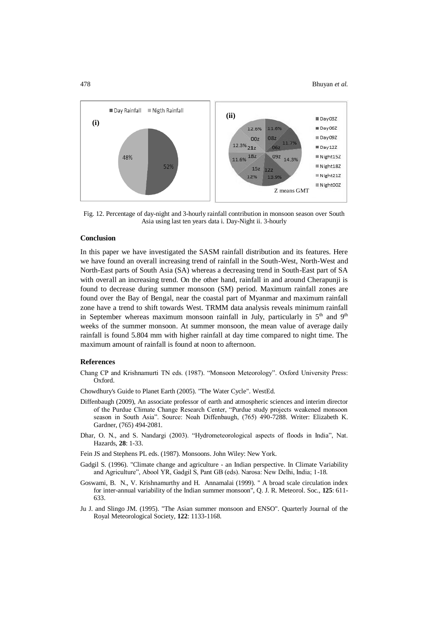

Fig. 12. Percentage of day-night and 3-hourly rainfall contribution in monsoon season over South Asia using last ten years data i. Day-Night ii. 3-hourly

## **Conclusion**

In this paper we have investigated the SASM rainfall distribution and its features. Here we have found an overall increasing trend of rainfall in the South-West, North-West and North-East parts of South Asia (SA) whereas a decreasing trend in South-East part of SA with overall an increasing trend. On the other hand, rainfall in and around Cherapunji is found to decrease during summer monsoon (SM) period. Maximum rainfall zones are found over the Bay of Bengal, near the coastal part of Myanmar and maximum rainfall zone have a trend to shift towards West. TRMM data analysis reveals minimum rainfall in September whereas maximum monsoon rainfall in July, particularly in  $5<sup>th</sup>$  and  $9<sup>th</sup>$ weeks of the summer monsoon. At summer monsoon, the mean value of average daily rainfall is found 5.804 mm with higher rainfall at day time compared to night time. The maximum amount of rainfall is found at noon to afternoon.

### **References**

- Chang CP and Krishnamurti TN eds. (1987). "Monsoon Meteorology". Oxford University Press: Oxford.
- Chowdhury's Guide to Planet Earth (2005). "The Water Cycle". WestEd.
- Diffenbaugh (2009), An associate professor of earth and atmospheric sciences and interim director of the Purdue Climate Change Research Center, "Purdue study projects weakened monsoon season in South Asia". Source: Noah Diffenbaugh, (765) 490-7288. Writer: Elizabeth K. Gardner, (765) 494-2081.
- Dhar, O. N., and S. Nandargi (2003). "Hydrometeorological aspects of floods in India", Nat. Hazards, **28**: 1-33.
- Fein JS and Stephens PL eds. (1987). Monsoons. John Wiley: New York.
- Gadgil S. (1996). "Climate change and agriculture an Indian perspective. In Climate Variability and Agriculture", Abool YR, Gadgil S, Pant GB (eds). Narosa: New Delhi, India; 1-18.
- Goswami, B. N., V. Krishnamurthy and H. Annamalai (1999). " A broad scale circulation index for inter-annual variability of the Indian summer monsoon", Q. J. R. Meteorol. Soc., **125**: 611- 633.
- Ju J. and Slingo JM. (1995). "The Asian summer monsoon and ENSO". Quarterly Journal of the Royal Meteorological Society, **122**: 1133-1168.